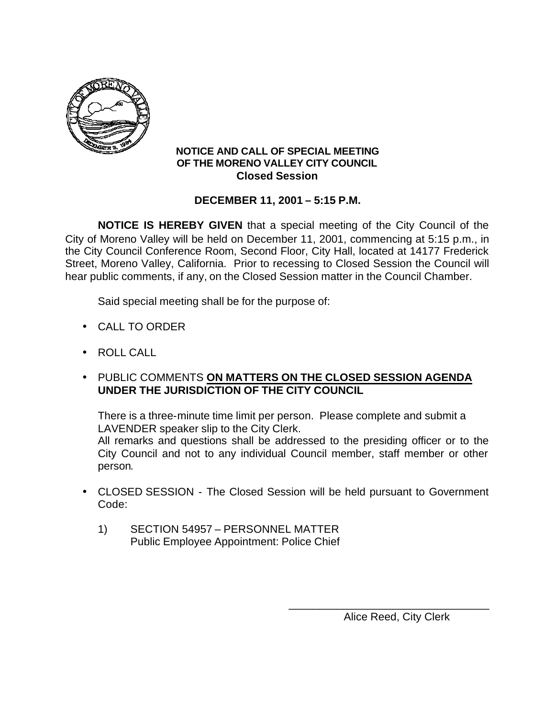

## **NOTICE AND CALL OF SPECIAL MEETING OF THE MORENO VALLEY CITY COUNCIL Closed Session**

## **DECEMBER 11, 2001 – 5:15 P.M.**

**NOTICE IS HEREBY GIVEN** that a special meeting of the City Council of the City of Moreno Valley will be held on December 11, 2001, commencing at 5:15 p.m., in the City Council Conference Room, Second Floor, City Hall, located at 14177 Frederick Street, Moreno Valley, California. Prior to recessing to Closed Session the Council will hear public comments, if any, on the Closed Session matter in the Council Chamber.

Said special meeting shall be for the purpose of:

- CALL TO ORDER
- ROLL CALL
- PUBLIC COMMENTS **ON MATTERS ON THE CLOSED SESSION AGENDA UNDER THE JURISDICTION OF THE CITY COUNCIL**

There is a three-minute time limit per person. Please complete and submit a LAVENDER speaker slip to the City Clerk.

All remarks and questions shall be addressed to the presiding officer or to the City Council and not to any individual Council member, staff member or other person.

- CLOSED SESSION The Closed Session will be held pursuant to Government Code:
	- 1) SECTION 54957 PERSONNEL MATTER Public Employee Appointment: Police Chief

Alice Reed, City Clerk

\_\_\_\_\_\_\_\_\_\_\_\_\_\_\_\_\_\_\_\_\_\_\_\_\_\_\_\_\_\_\_\_\_